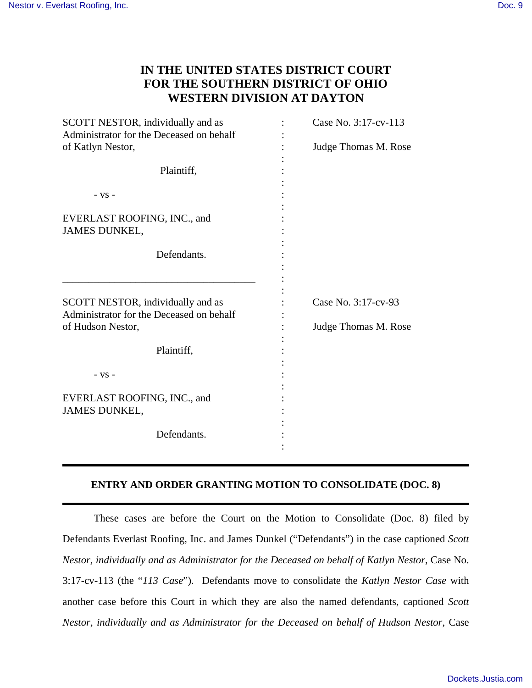## **IN THE UNITED STATES DISTRICT COURT FOR THE SOUTHERN DISTRICT OF OHIO WESTERN DIVISION AT DAYTON**

| SCOTT NESTOR, individually and as<br>Administrator for the Deceased on behalf<br>of Katlyn Nestor, | Case No. 3:17-cv-113<br>Judge Thomas M. Rose |
|----------------------------------------------------------------------------------------------------|----------------------------------------------|
| Plaintiff,                                                                                         |                                              |
| $-VS -$                                                                                            |                                              |
| EVERLAST ROOFING, INC., and<br>JAMES DUNKEL,                                                       |                                              |
| Defendants.                                                                                        |                                              |
| SCOTT NESTOR, individually and as<br>Administrator for the Deceased on behalf<br>of Hudson Nestor, | Case No. 3:17-cv-93<br>Judge Thomas M. Rose  |
| Plaintiff,                                                                                         |                                              |
| $-VS -$<br>EVERLAST ROOFING, INC., and<br><b>JAMES DUNKEL,</b><br>Defendants.                      |                                              |
|                                                                                                    |                                              |
|                                                                                                    |                                              |

## **ENTRY AND ORDER GRANTING MOTION TO CONSOLIDATE (DOC. 8)**

These cases are before the Court on the Motion to Consolidate (Doc. 8) filed by Defendants Everlast Roofing, Inc. and James Dunkel ("Defendants") in the case captioned *Scott Nestor, individually and as Administrator for the Deceased on behalf of Katlyn Nestor*, Case No. 3:17-cv-113 (the "*113 Case*"). Defendants move to consolidate the *Katlyn Nestor Case* with another case before this Court in which they are also the named defendants, captioned *Scott Nestor, individually and as Administrator for the Deceased on behalf of Hudson Nestor*, Case